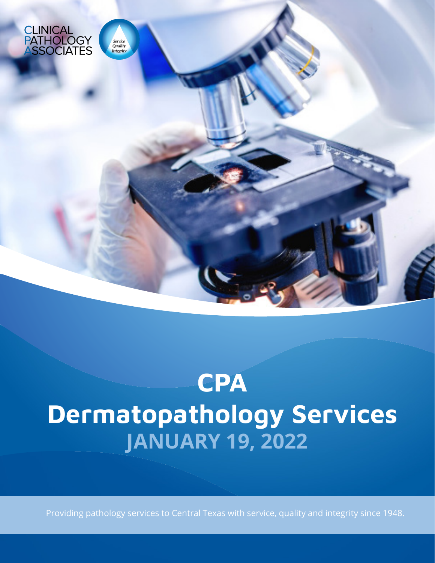

# **CPA** Dermatopathology Services **JANUARY 19, 2022**

Providing pathology services to Central Texas with service, quality and integrity since 1948.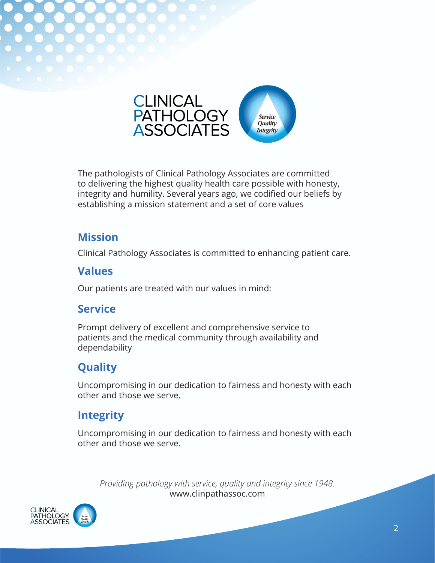

The pathologists of Clinical Pathology Associates are committed to delivering the highest quality health care possible with honesty, integrity and humility. Several years ago, we codified our beliefs by establishing a mission statement and a set of core values

### **Mission**

Clinical Pathology Associates is committed to enhancing patient care.

## **Values**

Our patients are treated with our values in mind:

## **Service**

Prompt delivery of excellent and comprehensive service to patients and the medical community through availability and dependability

# **Quality**

Uncompromising in our dedication to fairness and honesty with each other and those we serve.

# **Integrity**

Uncompromising in our dedication to fairness and honesty with each other and those we serve.

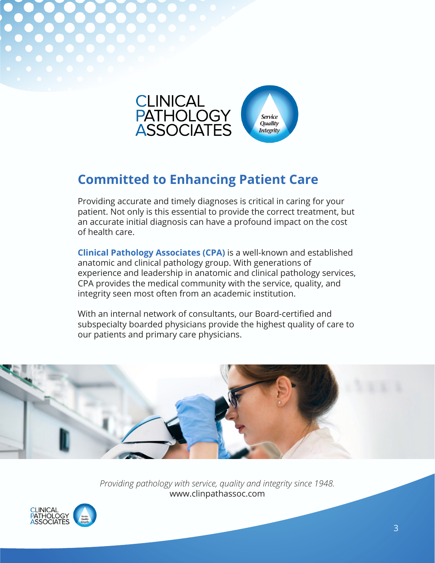

# **Committed to Enhancing Patient Care**

Providing accurate and timely diagnoses is critical in caring for your patient. Not only is this essential to provide the correct treatment, but an accurate initial diagnosis can have a profound impact on the cost of health care.

**Clinical Pathology Associates (CPA)** is a well-known and established anatomic and clinical pathology group. With generations of experience and leadership in anatomic and clinical pathology services, CPA provides the medical community with the service, quality, and integrity seen most often from an academic institution.

With an internal network of consultants, our Board-certified and subspecialty boarded physicians provide the highest quality of care to our patients and primary care physicians.



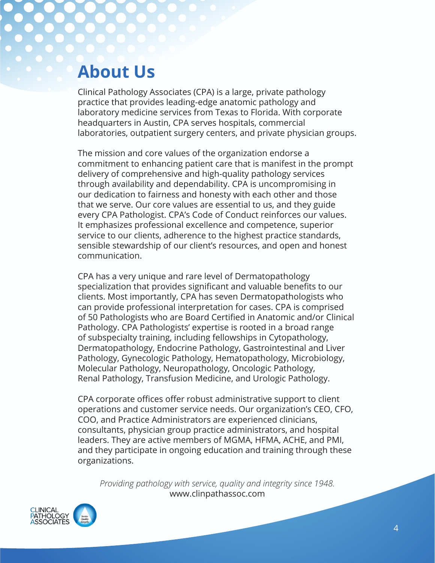# **About Us**

Clinical Pathology Associates (CPA) is a large, private pathology practice that provides leading-edge anatomic pathology and laboratory medicine services from Texas to Florida. With corporate headquarters in Austin, CPA serves hospitals, commercial laboratories, outpatient surgery centers, and private physician groups.

The mission and core values of the organization endorse a commitment to enhancing patient care that is manifest in the prompt delivery of comprehensive and high-quality pathology services through availability and dependability. CPA is uncompromising in our dedication to fairness and honesty with each other and those that we serve. Our core values are essential to us, and they guide every CPA Pathologist. CPA's Code of Conduct reinforces our values. It emphasizes professional excellence and competence, superior service to our clients, adherence to the highest practice standards, sensible stewardship of our client's resources, and open and honest communication.

CPA has a very unique and rare level of Dermatopathology specialization that provides significant and valuable benefits to our clients. Most importantly, CPA has seven Dermatopathologists who can provide professional interpretation for cases. CPA is comprised of 50 Pathologists who are Board Certified in Anatomic and/or Clinical Pathology. CPA Pathologists' expertise is rooted in a broad range of subspecialty training, including fellowships in Cytopathology, Dermatopathology, Endocrine Pathology, Gastrointestinal and Liver Pathology, Gynecologic Pathology, Hematopathology, Microbiology, Molecular Pathology, Neuropathology, Oncologic Pathology, Renal Pathology, Transfusion Medicine, and Urologic Pathology.

CPA corporate offices offer robust administrative support to client operations and customer service needs. Our organization's CEO, CFO, COO, and Practice Administrators are experienced clinicians, consultants, physician group practice administrators, and hospital leaders. They are active members of MGMA, HFMA, ACHE, and PMI, and they participate in ongoing education and training through these organizations.

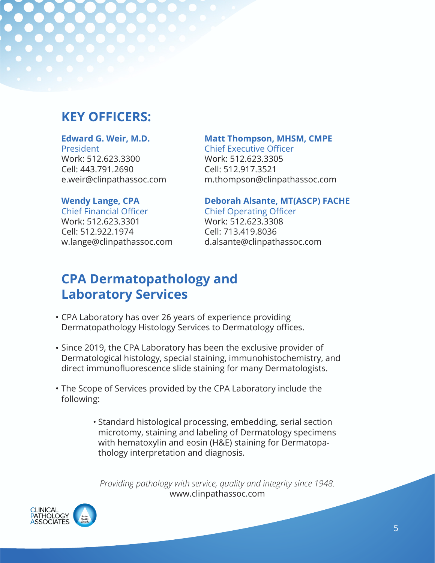# **KEY OFFICERS:**

#### **Edward G. Weir, M.D.**

President Work: 512.623.3300 Cell: 443.791.2690 e.weir@clinpathassoc.com

#### **Matt Thompson, MHSM, CMPE**

Chief Executive Officer Work: 512.623.3305 Cell: 512.917.3521 m.thompson@clinpathassoc.com

#### **Wendy Lange, CPA**

Chief Financial Officer Work: 512.623.3301 Cell: 512.922.1974 w.lange@clinpathassoc.com

#### **Deborah Alsante, MT(ASCP) FACHE**

Chief Operating Officer Work: 512.623.3308 Cell: 713.419.8036 d.alsante@clinpathassoc.com

# **CPA Dermatopathology and Laboratory Services**

- CPA Laboratory has over 26 years of experience providing •Dermatopathology Histology Services to Dermatology offices.
- Since 2019, the CPA Laboratory has been the exclusive provider of Dermatological histology, special staining, immunohistochemistry, and direct immunofluorescence slide staining for many Dermatologists.
- The Scope of Services provided by the CPA Laboratory include the following:
	- Standard histological processing, embedding, serial section microtomy, staining and labeling of Dermatology specimens with hematoxylin and eosin (H&E) staining for Dermatopathology interpretation and diagnosis.

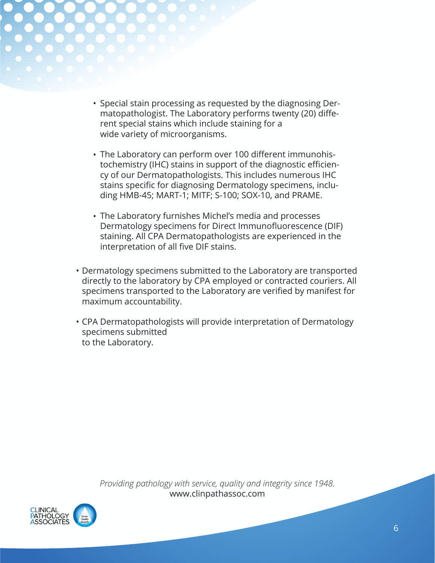

- Special stain processing as requested by the diagnosing Dermatopathologist. The Laboratory performs twenty (20) different special stains which include staining for a wide variety of microorganisms.
- The Laboratory can perform over 100 different immunohis-• tochemistry (IHC) stains in support of the diagnostic efficiency of our Dermatopathologists. This includes numerous IHC stains specific for diagnosing Dermatology specimens, including HMB-45; MART-1; MITF; S-100; SOX-10, and PRAME.
- The Laboratory furnishes Michel's media and processes Dermatology specimens for Direct Immunofluorescence (DIF) staining. All CPA Dermatopathologists are experienced in the interpretation of all five DIF stains.
- Dermatology specimens submitted to the Laboratory are transported directly to the laboratory by CPA employed or contracted couriers. All specimens transported to the Laboratory are verified by manifest for maximum accountability.
- CPA Dermatopathologists will provide interpretation of Dermatology •specimens submitted to the Laboratory.

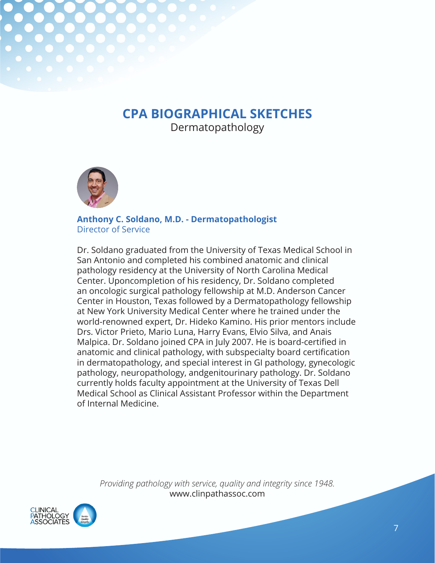# **CPA BIOGRAPHICAL SKETCHES**

Dermatopathology



**Anthony C. Soldano, M.D. - Dermatopathologist** Director of Service

Dr. Soldano graduated from the University of Texas Medical School in San Antonio and completed his combined anatomic and clinical pathology residency at the University of North Carolina Medical Center. Uponcompletion of his residency, Dr. Soldano completed an oncologic surgical pathology fellowship at M.D. Anderson Cancer Center in Houston, Texas followed by a Dermatopathology fellowship at New York University Medical Center where he trained under the world-renowned expert, Dr. Hideko Kamino. His prior mentors include Drs. Victor Prieto, Mario Luna, Harry Evans, Elvio Silva, and Anais Malpica. Dr. Soldano joined CPA in July 2007. He is board-certified in anatomic and clinical pathology, with subspecialty board certification in dermatopathology, and special interest in GI pathology, gynecologic pathology, neuropathology, andgenitourinary pathology. Dr. Soldano currently holds faculty appointment at the University of Texas Dell Medical School as Clinical Assistant Professor within the Department of Internal Medicine.

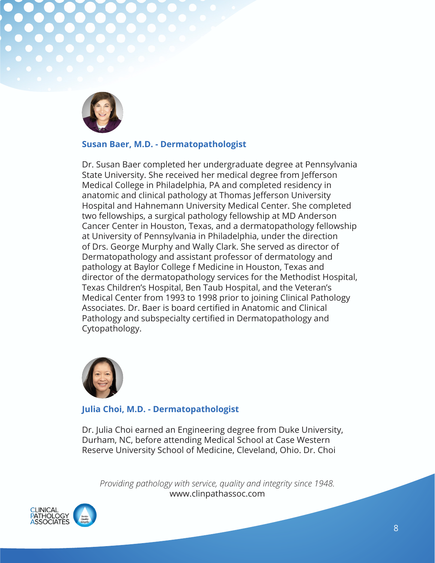

#### **Susan Baer, M.D. - Dermatopathologist**

Dr. Susan Baer completed her undergraduate degree at Pennsylvania State University. She received her medical degree from Jefferson Medical College in Philadelphia, PA and completed residency in anatomic and clinical pathology at Thomas Jefferson University Hospital and Hahnemann University Medical Center. She completed two fellowships, a surgical pathology fellowship at MD Anderson Cancer Center in Houston, Texas, and a dermatopathology fellowship at University of Pennsylvania in Philadelphia, under the direction of Drs. George Murphy and Wally Clark. She served as director of Dermatopathology and assistant professor of dermatology and pathology at Baylor College f Medicine in Houston, Texas and director of the dermatopathology services for the Methodist Hospital, Texas Children's Hospital, Ben Taub Hospital, and the Veteran's Medical Center from 1993 to 1998 prior to joining Clinical Pathology Associates. Dr. Baer is board certified in Anatomic and Clinical Pathology and subspecialty certified in Dermatopathology and Cytopathology.



#### **Julia Choi, M.D. - Dermatopathologist**

Dr. Julia Choi earned an Engineering degree from Duke University, Durham, NC, before attending Medical School at Case Western Reserve University School of Medicine, Cleveland, Ohio. Dr. Choi

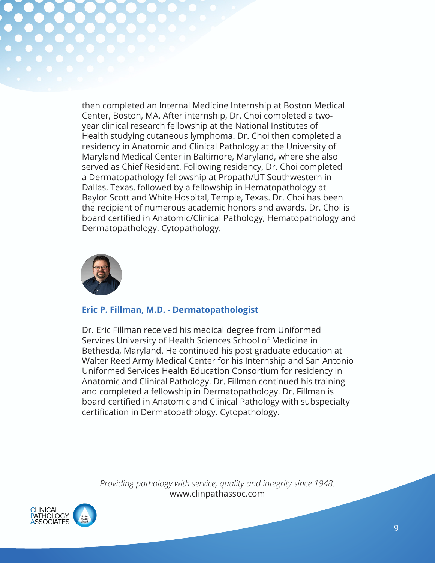then completed an Internal Medicine Internship at Boston Medical Center, Boston, MA. After internship, Dr. Choi completed a twoyear clinical research fellowship at the National Institutes of Health studying cutaneous lymphoma. Dr. Choi then completed a residency in Anatomic and Clinical Pathology at the University of Maryland Medical Center in Baltimore, Maryland, where she also served as Chief Resident. Following residency, Dr. Choi completed a Dermatopathology fellowship at Propath/UT Southwestern in Dallas, Texas, followed by a fellowship in Hematopathology at Baylor Scott and White Hospital, Temple, Texas. Dr. Choi has been the recipient of numerous academic honors and awards. Dr. Choi is board certified in Anatomic/Clinical Pathology, Hematopathology and Dermatopathology. Cytopathology.



#### **Eric P. Fillman, M.D. - Dermatopathologist**

Dr. Eric Fillman received his medical degree from Uniformed Services University of Health Sciences School of Medicine in Bethesda, Maryland. He continued his post graduate education at Walter Reed Army Medical Center for his Internship and San Antonio Uniformed Services Health Education Consortium for residency in Anatomic and Clinical Pathology. Dr. Fillman continued his training and completed a fellowship in Dermatopathology. Dr. Fillman is board certified in Anatomic and Clinical Pathology with subspecialty certification in Dermatopathology. Cytopathology.

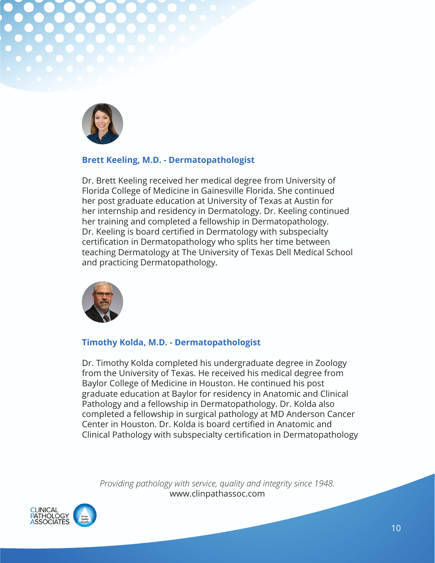

#### **Brett Keeling, M.D. - Dermatopathologist**

Dr. Brett Keeling received her medical degree from University of Florida College of Medicine in Gainesville Florida. She continued her post graduate education at University of Texas at Austin for her internship and residency in Dermatology. Dr. Keeling continued her training and completed a fellowship in Dermatopathology. Dr. Keeling is board certified in Dermatology with subspecialty certification in Dermatopathology who splits her time between teaching Dermatology at The University of Texas Dell Medical School and practicing Dermatopathology.



#### **Timothy Kolda, M.D. - Dermatopathologist**

Dr. Timothy Kolda completed his undergraduate degree in Zoology from the University of Texas. He received his medical degree from Baylor College of Medicine in Houston. He continued his post graduate education at Baylor for residency in Anatomic and Clinical Pathology and a fellowship in Dermatopathology. Dr. Kolda also completed a fellowship in surgical pathology at MD Anderson Cancer Center in Houston. Dr. Kolda is board certified in Anatomic and Clinical Pathology with subspecialty certification in Dermatopathology